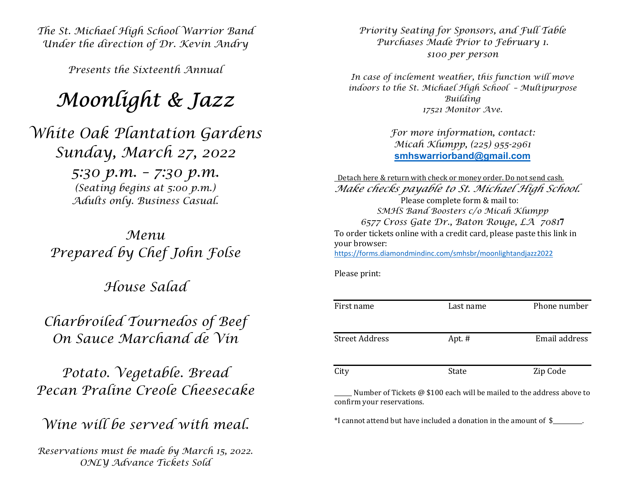The St. Michael High School Warrior Band Under the direction of Dr. Kevin Andry

Presents the Sixteenth Annual

## Moonlight & Jazz

White Oak Plantation Gardens Sunday, March 27, 2022 5:30 p.m. – 7:30 p.m. (Seating begins at 5:00 p.m.) Adults only. Business Casual.

Menu Prepared by Chef John Folse

House Salad

Charbroiled Tournedos of Beef On Sauce Marchand de Vin

Potato. Vegetable. Bread Pecan Praline Creole Cheesecake

Wine will be served with meal.

Reservations must be made by March 15, 2022. ONLY Advance Tickets Sold

Priority Seating for Sponsors, and Full Table Purchases Made Prior to February 1. \$100 per person

In case of inclement weather, this function will move indoors to the St. Michael High School – Multipurpose Building 17521 Monitor Ave.

> For more information, contact: Micah Klumpp, (225) 955-2961 smhswarriorband@gmail.com

 Detach here & return with check or money order. Do not send cash. Make checks payable to St. Michael High School. Please complete form & mail to: SMHS Band Boosters c/o Micah Klumpp 6577 Cross Gate Dr., Baton Rouge, LA 70817 To order tickets online with a credit card, please paste this link in your browser: https://forms.diamondmindinc.com/smhsbr/moonlightandjazz2022

Please print:

| First name            | Last name | Phone number  |
|-----------------------|-----------|---------------|
| <b>Street Address</b> | Apt. $#$  | Email address |
| City                  | State     | Zip Code      |

Number of Tickets @ \$100 each will be mailed to the address above to confirm your reservations.

\*I cannot attend but have included a donation in the amount of \$\_\_\_\_\_\_\_\_\_\_.